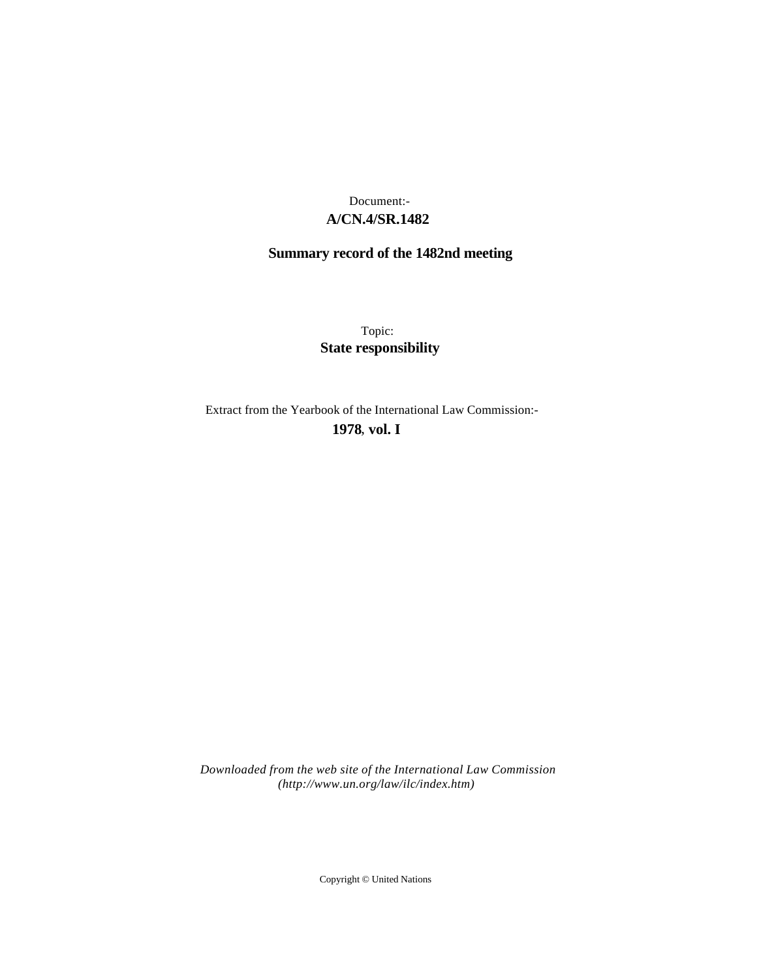## **A/CN.4/SR.1482** Document:-

# **Summary record of the 1482nd meeting**

Topic: **State responsibility**

Extract from the Yearbook of the International Law Commission:-

**1978** , **vol. I**

*Downloaded from the web site of the International Law Commission (http://www.un.org/law/ilc/index.htm)*

Copyright © United Nations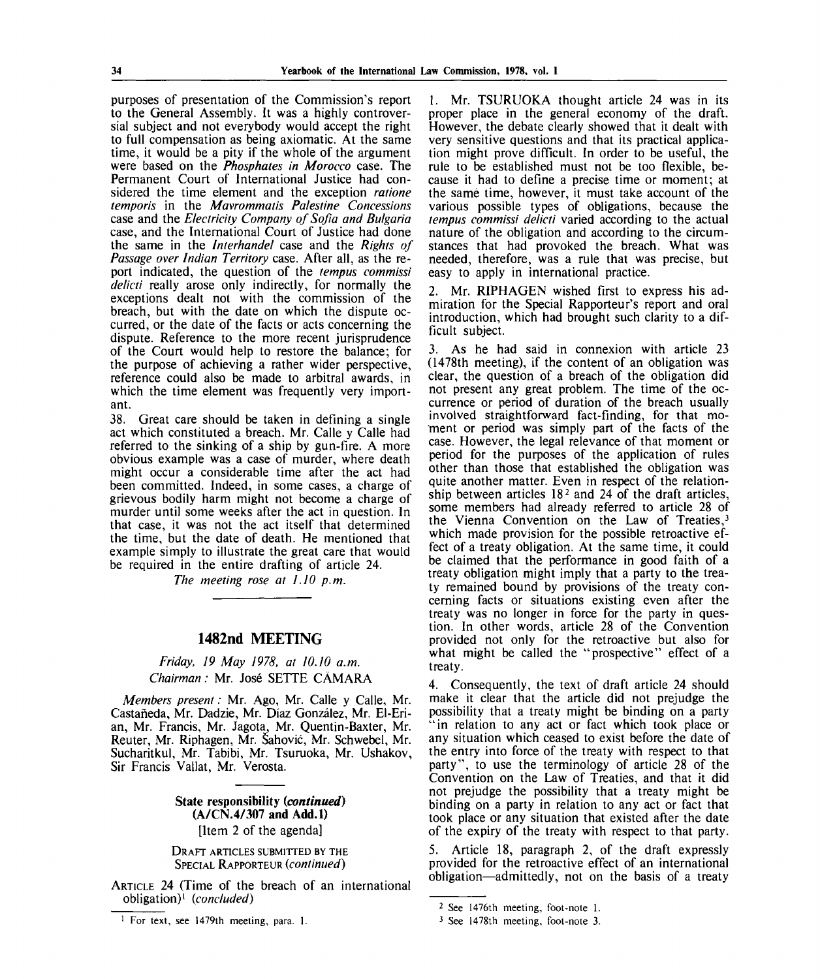purposes of presentation of the Commission's report to the General Assembly. It was a highly controversial subject and not everybody would accept the right to full compensation as being axiomatic. At the same time, it would be a pity if the whole of the argument were based on the *Phosphates in Morocco* case. The Permanent Court of International Justice had considered the time element and the exception *ratione tempohs* in the *Mavrommatis Palestine Concessions* case and the *Electricity Company of Sofia and Bulgaria* case, and the International Court of Justice had done the same in the *Interhandel* case and the *Rights of Passage over Indian Territory* case. After all, as the report indicated, the question of the *tempus commissi delicti* really arose only indirectly, for normally the exceptions dealt not with the commission of the breach, but with the date on which the dispute occurred, or the date of the facts or acts concerning the dispute. Reference to the more recent jurisprudence of the Court would help to restore the balance; for the purpose of achieving a rather wider perspective, reference could also be made to arbitral awards, in which the time element was frequently very important.

38. Great care should be taken in defining a single act which constituted a breach. Mr. Calle y Calle had referred to the sinking of a ship by gun-fire. A more obvious example was a case of murder, where death might occur a considerable time after the act had been committed. Indeed, in some cases, a charge of grievous bodily harm might not become a charge of murder until some weeks after the act in question. In that case, it was not the act itself that determined the time, but the date of death. He mentioned that example simply to illustrate the great care that would be required in the entire drafting of article 24.

*The meeting rose at 1.10 p.m.*

### **1482nd MEETING**

*Friday, 19 May 1978, at 10.10 a.m. Chairman:* Mr. Jose SETTE CAMARA

*Members present:* Mr. Ago, Mr. Calle y Calle, Mr. Castaneda, Mr. Dadzie, Mr. Diaz Gonzalez, Mr. El-Erian, Mr. Francis, Mr. Jagota, Mr. Quentin-Baxter, Mr. Reuter, Mr. Riphagen, Mr. Sahovic, Mr. Schwebel, Mr. Sucharitkul, Mr. Tabibi, Mr. Tsuruoka, Mr. Ushakov, Sir Francis Vallat, Mr. Verosta.

> **State responsibility** *{continued)* **(A/CN.4/307 and Add.l)** [Item 2 of the agenda]

DRAFT ARTICLES SUBMITTED BY THE SPECIAL RAPPORTEUR *{continued)*

ARTICLE 24 (Time of the breach of an international obligation)<sup>1</sup>  *{concluded)*

1. Mr. TSURUOKA thought article 24 was in its proper place in the general economy of the draft. However, the debate clearly showed that it dealt with very sensitive questions and that its practical application might prove difficult. In order to be useful, the rule to be established must not be too flexible, because it had to define a precise time or moment; at the same time, however, it must take account of the various possible types of obligations, because the *tempus commissi delicti* varied according to the actual nature of the obligation and according to the circumstances that had provoked the breach. What was needed, therefore, was a rule that was precise, but easy to apply in international practice.

2. Mr. RIPHAGEN wished first to express his admiration for the Special Rapporteur's report and oral introduction, which had brought such clarity to a difficult subject.

3. As he had said in connexion with article 23 (1478th meeting), if the content of an obligation was clear, the question of a breach of the obligation did not present any great problem. The time of the occurrence or period of duration of the breach usually involved straightforward fact-finding, for that moment or period was simply part of the facts of the case. However, the legal relevance of that moment or period for the purposes of the application of rules other than those that established the obligation was quite another matter. Even in respect of the relationship between articles 18<sup>2</sup> and 24 of the draft articles, some members had already referred to article 28 of the Vienna Convention on the Law of Treaties,<sup>3</sup> which made provision for the possible retroactive effect of a treaty obligation. At the same time, it could be claimed that the performance in good faith of a treaty obligation might imply that a party to the treaty remained bound by provisions of the treaty concerning facts or situations existing even after the treaty was no longer in force for the party in question. In other words, article 28 of the Convention provided not only for the retroactive but also for what might be called the "prospective" effect of a treaty.

4. Consequently, the text of draft article 24 should make it clear that the article did not prejudge the possibility that a treaty might be binding on a party "in relation to any act or fact which took place or any situation which ceased to exist before the date of the entry into force of the treaty with respect to that party", to use the terminology of article 28 of the Convention on the Law of Treaties, and that it did not prejudge the possibility that a treaty might be binding on a party in relation to any act or fact that took place or any situation that existed after the date of the expiry of the treaty with respect to that party.

5. Article 18, paragraph 2, of the draft expressly provided for the retroactive effect of an international obligation—admittedly, not on the basis of a treaty

<sup>&</sup>lt;sup>1</sup> For text, see 1479th meeting, para. 1.

<sup>2</sup> See 1476th meeting, foot-note 1.

<sup>3</sup> See 1478th meeting, foot-note 3.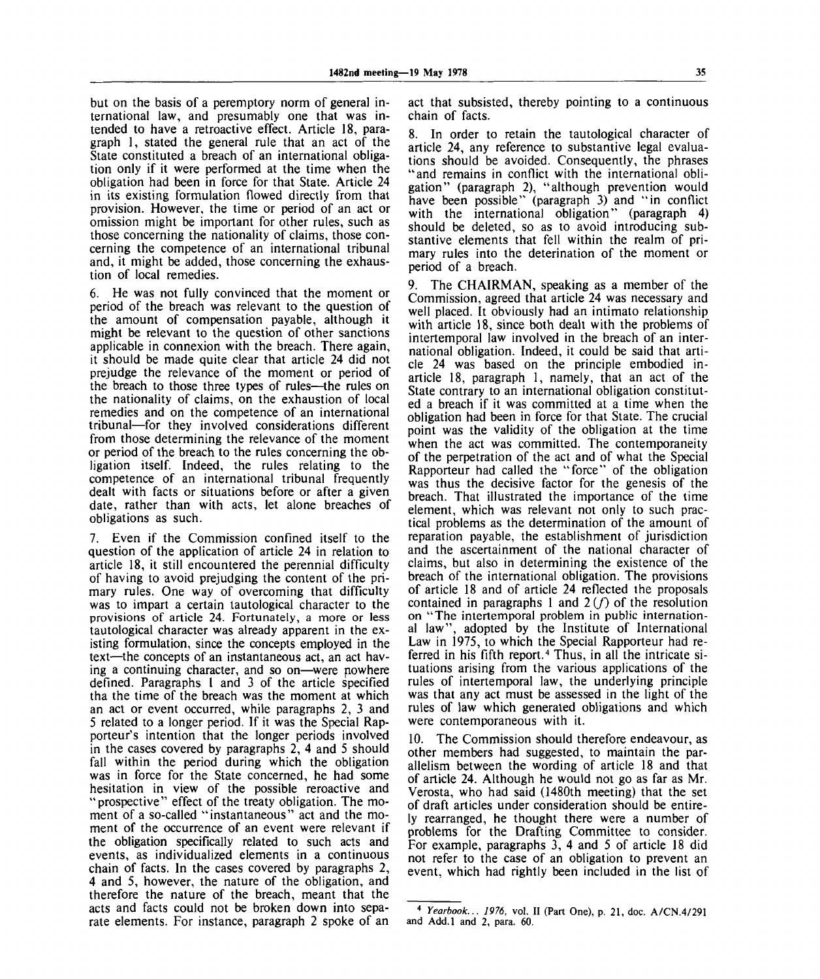but on the basis of a peremptory norm of general international law, and presumably one that was intended to have a retroactive effect. Article 18, paragraph 1, stated the general rule that an act of the State constituted a breach of an international obligation only if it were performed at the time when the obligation had been in force for that State. Article 24 in its existing formulation flowed directly from that provision. However, the time or period of an act or omission might be important for other rules, such as those concerning the nationality of claims, those concerning the competence of an international tribunal and, it might be added, those concerning the exhaustion of local remedies.

6. He was not fully convinced that the moment or period of the breach was relevant to the question of the amount of compensation payable, although it might be relevant to the question of other sanctions applicable in connexion with the breach. There again, it should be made quite clear that article 24 did not prejudge the relevance of the moment or period of the breach to those three types of rules—the rules on the nationality of claims, on the exhaustion of local remedies and on the competence of an international tribunal—for they involved considerations different from those determining the relevance of the moment or period of the breach to the rules concerning the obligation itself. Indeed, the rules relating to the competence of an international tribunal frequently dealt with facts or situations before or after a given date, rather than with acts, let alone breaches of obligations as such.

7. Even if the Commission confined itself to the question of the application of article 24 in relation to article 18, it still encountered the perennial difficulty of having to avoid prejudging the content of the primary rules. One way of overcoming that difficulty was to impart a certain tautological character to the provisions of article 24. Fortunately, a more or less tautological character was already apparent in the existing formulation, since the concepts employed in the text—the concepts of an instantaneous act, an act having a continuing character, and so on—were nowhere defined. Paragraphs 1 and 3 of the article specified tha the time of the breach was the moment at which an act or event occurred, while paragraphs 2, 3 and 5 related to a longer period. If it was the Special Rapporteur's intention that the longer periods involved in the cases covered by paragraphs 2, 4 and 5 should fall within the period during which the obligation was in force for the State concerned, he had some hesitation in view of the possible reroactive and "prospective" effect of the treaty obligation. The moment of a so-called "instantaneous" act and the moment of the occurrence of an event were relevant if the obligation specifically related to such acts and events, as individualized elements in a continuous chain of facts. In the cases covered by paragraphs 2, 4 and 5, however, the nature of the obligation, and therefore the nature of the breach, meant that the acts and facts could not be broken down into separate elements. For instance, paragraph 2 spoke of an

act that subsisted, thereby pointing to a continuous chain of facts.

8. In order to retain the tautological character of article 24, any reference to substantive legal evaluations should be avoided. Consequently, the phrases "and remains in conflict with the international obligation" (paragraph 2), "although prevention would have been possible" (paragraph 3) and "in conflict with the international obligation" (paragraph 4) should be deleted, so as to avoid introducing substantive elements that fell within the realm of primary rules into the deterination of the moment or period of a breach.

9. The CHAIRMAN, speaking as a member of the Commission, agreed that article 24 was necessary and well placed. It obviously had an intimato relationship with article 18, since both dealt with the problems of intertemporal law involved in the breach of an international obligation. Indeed, it could be said that article 24 was based on the principle embodied inarticle 18, paragraph 1, namely, that an act of the State contrary to an international obligation constituted a breach if it was committed at a time when the obligation had been in force for that State. The crucial point was the validity of the obligation at the time when the act was committed. The contemporaneity of the perpetration of the act and of what the Special Rapporteur had called the "force" of the obligation was thus the decisive factor for the genesis of the breach. That illustrated the importance of the time element, which was relevant not only to such practical problems as the determination of the amount of reparation payable, the establishment of jurisdiction and the ascertainment of the national character of claims, but also in determining the existence of the breach of the international obligation. The provisions of article 18 and of article 24 reflected the proposals contained in paragraphs 1 and  $2(f)$  of the resolution on "The intertemporal problem in public international law", adopted by the Institute of International Law in 1975, to which the Special Rapporteur had re-East in 1995, to which the opening rapportunities to<br>ferred in his fifth report.<sup>4</sup> Thus, in all the intricate situations arising from the various applications of the rules of intertemporal law, the underlying principle was that any act must be assessed in the light of the rules of law which generated obligations and which were contemporaneous with it.

10. The Commission should therefore endeavour, as other members had suggested, to maintain the parallelism between the wording of article 18 and that of article 24. Although he would not go as far as Mr. Verosta, who had said (1480th meeting) that the set of draft articles under consideration should be entirely rearranged, he thought there were a number of problems for the Drafting Committee to consider. For example, paragraphs 3, 4 and 5 of article 18 did not refer to the case of an obligation to prevent an event, which had rightly been included in the list of

<sup>4</sup>  *Yearbook... 1976,* vol. II (Part One), p. 21, doc. A/CN.4/291 and Add.l and 2, para. 60.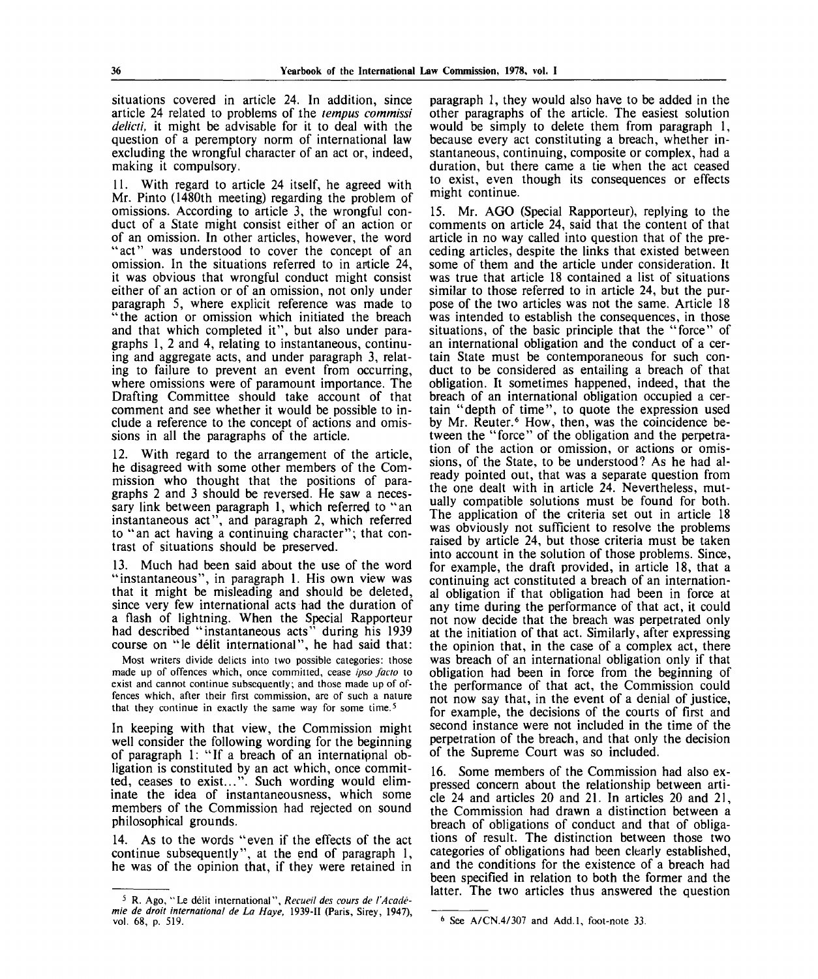situations covered in article 24. In addition, since article 24 related to problems of the *tempus commissi delicti,* it might be advisable for it to deal with the question of a peremptory norm of international law excluding the wrongful character of an act or, indeed, making it compulsory.

11. With regard to article 24 itself, he agreed with Mr. Pinto (1480th meeting) regarding the problem of omissions. According to article 3, the wrongful conduct of a State might consist either of an action or of an omission. In other articles, however, the word "act" was understood to cover the concept of an omission. In the situations referred to in article 24, it was obvious that wrongful conduct might consist either of an action or of an omission, not only under paragraph 5, where explicit reference was made to "the action or omission which initiated the breach and that which completed it", but also under paragraphs 1, 2 and 4, relating to instantaneous, continuing and aggregate acts, and under paragraph 3, relating to failure to prevent an event from occurring, where omissions were of paramount importance. The Drafting Committee should take account of that comment and see whether it would be possible to include a reference to the concept of actions and omissions in all the paragraphs of the article.

12. With regard to the arrangement of the article, he disagreed with some other members of the Commission who thought that the positions of paragraphs 2 and 3 should be reversed. He saw a necessary link between paragraph 1, which referred to "an instantaneous act", and paragraph 2, which referred to "an act having a continuing character"; that contrast of situations should be preserved.

13. Much had been said about the use of the word "instantaneous", in paragraph 1. His own view was that it might be misleading and should be deleted, since very few international acts had the duration of a flash of lightning. When the Special Rapporteur had described "instantaneous acts" during his 1939 course on "le delit international", he had said that:

Most writers divide delicts into two possible categories: those made up of offences which, once committed, cease *ipso facto* to exist and cannot continue subsequently; and those made up of offences which, after their first commission, are of such a nature that they continue in exactly the same way for some time.<sup>5</sup>

In keeping with that view, the Commission might well consider the following wording for the beginning of paragraph 1: "If a breach of an internatipnal obligation is constituted by an act which, once committed, ceases to exist...". Such wording would eliminate the idea of instantaneousness, which some members of the Commission had rejected on sound philosophical grounds.

14. As to the words "even if the effects of the act continue subsequently", at the end of paragraph 1, he was of the opinion that, if they were retained in

paragraph 1, they would also have to be added in the other paragraphs of the article. The easiest solution would be simply to delete them from paragraph 1, because every act constituting a breach, whether instantaneous, continuing, composite or complex, had a duration, but there came a tie when the act ceased to exist, even though its consequences or effects might continue.

15. Mr. AGO (Special Rapporteur), replying to the comments on article 24, said that the content of that article in no way called into question that of the preceding articles, despite the links that existed between some of them and the article under consideration. It was true that article 18 contained a list of situations similar to those referred to in article 24, but the purpose of the two articles was not the same. Article 18 was intended to establish the consequences, in those situations, of the basic principle that the "force" of an international obligation and the conduct of a certain State must be contemporaneous for such conduct to be considered as entailing a breach of that obligation. It sometimes happened, indeed, that the breach of an international obligation occupied a certain "depth of time", to quote the expression used by Mr. Reuter.<sup>6</sup> How, then, was the coincidence between the "force" of the obligation and the perpetration of the action or omission, or actions or omissions, of the State, to be understood? As he had already pointed out, that was a separate question from the one dealt with in article 24. Nevertheless, mutually compatible solutions must be found for both. The application of the criteria set out in article 18 was obviously not sufficient to resolve the problems raised by article 24, but those criteria must be taken into account in the solution of those problems. Since, for example, the draft provided, in article 18, that a continuing act constituted a breach of an international obligation if that obligation had been in force at any time during the performance of that act, it could not now decide that the breach was perpetrated only at the initiation of that act. Similarly, after expressing the opinion that, in the case of a complex act, there was breach of an international obligation only if that obligation had been in force from the beginning of the performance of that act, the Commission could not now say that, in the event of a denial of justice, for example, the decisions of the courts of first and second instance were not included in the time of the perpetration of the breach, and that only the decision of the Supreme Court was so included.

16. Some members of the Commission had also expressed concern about the relationship between article 24 and articles 20 and 21. In articles 20 and 21, the Commission had drawn a distinction between a breach of obligations of conduct and that of obligations of result. The distinction between those two categories of obligations had been clearly established, and the conditions for the existence of a breach had been specified in relation to both the former and the latter. The two articles thus answered the question

<sup>5</sup> R. Ago, "Le delit international", *Recueil des cows de I'Academie de droit international de La Haye,* 1939-11 (Paris, Sirey, 1947), vol. 68, p. 519.

<sup>6</sup> See A/CN.4/307 and Add.l, foot-note 33.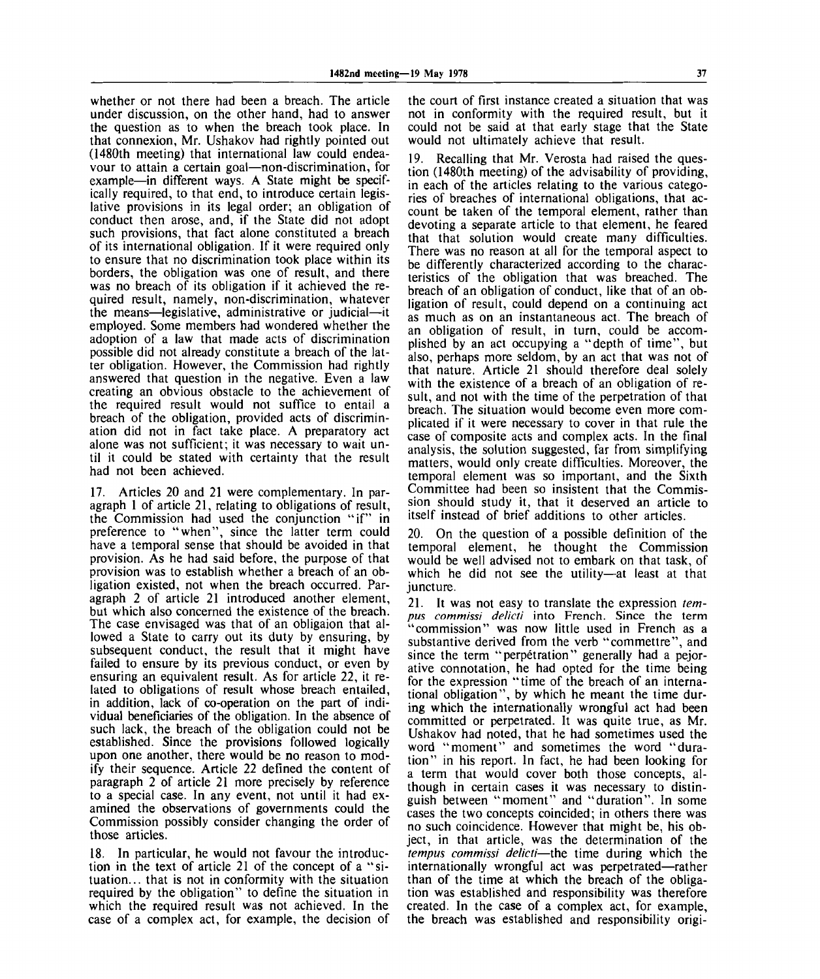whether or not there had been a breach. The article under discussion, on the other hand, had to answer the question as to when the breach took place. In that connexion, Mr. Ushakov had rightly pointed out (1480th meeting) that international law could endeavour to attain a certain goal—non-discrimination, for example—in different ways. A State might be specifically required, to that end, to introduce certain legislative provisions in its legal order; an obligation of conduct then arose, and, if the State did not adopt such provisions, that fact alone constituted a breach of its international obligation. If it were required only to ensure that no discrimination took place within its borders, the obligation was one of result, and there was no breach of its obligation if it achieved the required result, namely, non-discrimination, whatever the means—legislative, administrative or judicial—it employed. Some members had wondered whether the adoption of a law that made acts of discrimination possible did not already constitute a breach of the latter obligation. However, the Commission had rightly answered that question in the negative. Even a law creating an obvious obstacle to the achievement of the required result would not suffice to entail a breach of the obligation, provided acts of discrimination did not in fact take place. A preparatory act alone was not sufficient; it was necessary to wait until it could be stated with certainty that the result had not been achieved.

17. Articles 20 and 21 were complementary. In paragraph 1 of article 21, relating to obligations of result, the Commission had used the conjunction "if" in preference to "when", since the latter term could have a temporal sense that should be avoided in that provision. As he had said before, the purpose of that provision was to establish whether a breach of an obligation existed, not when the breach occurred. Paragraph 2 of article 21 introduced another element, but which also concerned the existence of the breach. The case envisaged was that of an obligaion that allowed a State to carry out its duty by ensuring, by subsequent conduct, the result that it might have failed to ensure by its previous conduct, or even by ensuring an equivalent result. As for article 22, it related to obligations of result whose breach entailed, in addition, lack of co-operation on the part of individual beneficiaries of the obligation. In the absence of such lack, the breach of the obligation could not be established. Since the provisions followed logically upon one another, there would be no reason to modify their sequence. Article 22 defined the content of paragraph 2 of article 21 more precisely by reference to a special case. In any event, not until it had examined the observations of governments could the Commission possibly consider changing the order of those articles.

18. In particular, he would not favour the introduction in the text of article 21 of the concept of a "situation. .. that is not in conformity with the situation required by the obligation" to define the situation in which the required result was not achieved. In the case of a complex act, for example, the decision of

the court of first instance created a situation that was not in conformity with the required result, but it could not be said at that early stage that the State would not ultimately achieve that result.

19. Recalling that Mr. Verosta had raised the question (1480th meeting) of the advisability of providing, in each of the articles relating to the various categories of breaches of international obligations, that account be taken of the temporal element, rather than devoting a separate article to that element, he feared that that solution would create many difficulties. There was no reason at all for the temporal aspect to be differently characterized according to the characteristics of the obligation that was breached. The breach of an obligation of conduct, like that of an obligation of result, could depend on a continuing act as much as on an instantaneous act. The breach of an obligation of result, in turn, could be accomplished by an act occupying a "depth of time", but also, perhaps more seldom, by an act that was not of that nature. Article 21 should therefore deal solely with the existence of a breach of an obligation of result, and not with the time of the perpetration of that breach. The situation would become even more complicated if it were necessary to cover in that rule the case of composite acts and complex acts. In the final analysis, the solution suggested, far from simplifying matters, would only create difficulties. Moreover, the temporal element was so important, and the Sixth Committee had been so insistent that the Commission should study it, that it deserved an article to itself instead of brief additions to other articles.

20. On the question of a possible definition of the temporal element, he thought the Commission would be well advised not to embark on that task, of which he did not see the utility—at least at that juncture.

21. It was not easy to translate the expression *ternpus commissi delicti* into French. Since the term "commission" was now little used in French as a substantive derived from the verb "commettre", and since the term "perpetration" generally had a pejorative connotation, he had opted for the time being for the expression "time of the breach of an international obligation", by which he meant the time during which the internationally wrongful act had been committed or perpetrated. It was quite true, as Mr. Ushakov had noted, that he had sometimes used the word "moment" and sometimes the word "duration" in his report. In fact, he had been looking for a term that would cover both those concepts, although in certain cases it was necessary to distinguish between "moment" and "duration". In some cases the two concepts coincided; in others there was no such coincidence. However that might be, his object, in that article, was the determination of the *tempus commissi delicti*—the time during which the internationally wrongful act was perpetrated—rather than of the time at which the breach of the obligation was established and responsibility was therefore created. In the case of a complex act, for example, the breach was established and responsibility origi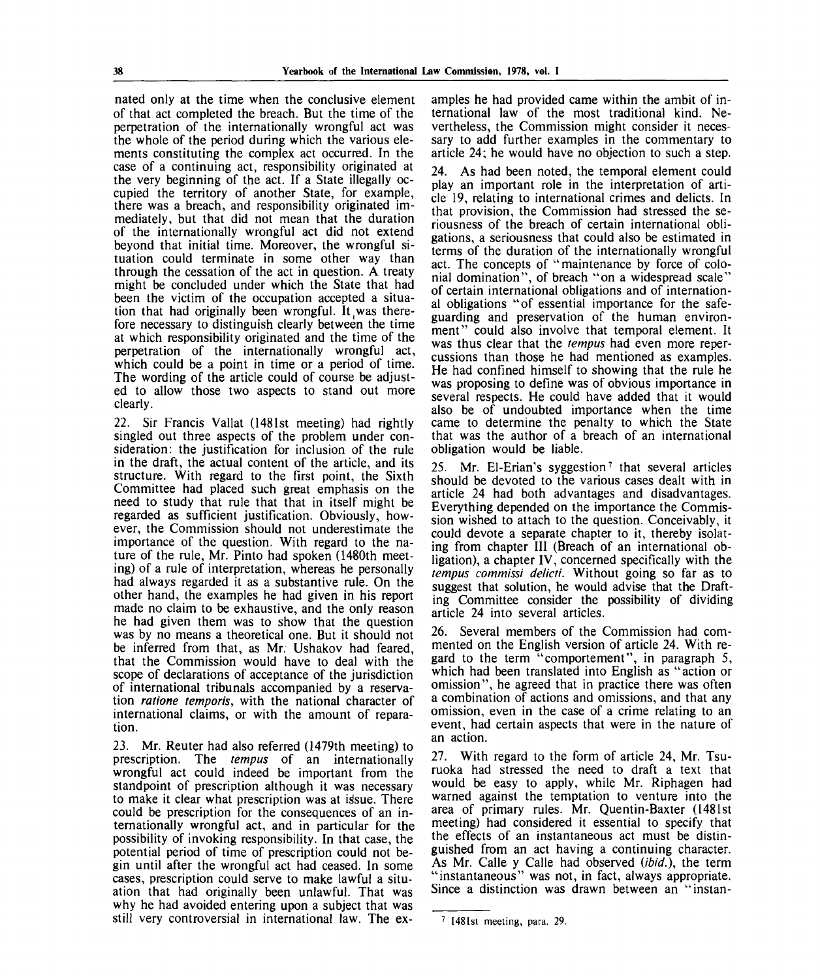nated only at the time when the conclusive element of that act completed the breach. But the time of the perpetration of the internationally wrongful act was the whole of the period during which the various elements constituting the complex act occurred. In the case of a continuing act, responsibility originated at the very beginning of the act. If a State illegally occupied the territory of another State, for example, there was a breach, and responsibility originated immediately, but that did not mean that the duration of the internationally wrongful act did not extend beyond that initial time. Moreover, the wrongful situation could terminate in some other way than through the cessation of the act in question. A treaty might be concluded under which the State that had been the victim of the occupation accepted a situation that had originally been wrongful. It was therefore necessary to distinguish clearly between the time at which responsibility originated and the time of the perpetration of the internationally wrongful act, which could be a point in time or a period of time. The wording of the article could of course be adjusted to allow those two aspects to stand out more clearly.

22. Sir Francis Vallat (1481st meeting) had rightly singled out three aspects of the problem under consideration: the justification for inclusion of the rule in the draft, the actual content of the article, and its structure. With regard to the first point, the Sixth Committee had placed such great emphasis on the need to study that rule that that in itself might be regarded as sufficient justification. Obviously, however, the Commission should not underestimate the importance of the question. With regard to the nature of the rule, Mr. Pinto had spoken (1480th meeting) of a rule of interpretation, whereas he personally had always regarded it as a substantive rule. On the other hand, the examples he had given in his report made no claim to be exhaustive, and the only reason he had given them was to show that the question was by no means a theoretical one. But it should not be inferred from that, as Mr. Ushakov had feared, that the Commission would have to deal with the scope of declarations of acceptance of the jurisdiction of international tribunals accompanied by a reservation *ratione temporis,* with the national character of international claims, or with the amount of reparation.

23. Mr. Reuter had also referred (1479th meeting) to prescription. The *tempus* of an internationally wrongful act could indeed be important from the standpoint of prescription although it was necessary to make it clear what prescription was at issue. There could be prescription for the consequences of an internationally wrongful act, and in particular for the possibility of invoking responsibility. In that case, the potential period of time of prescription could not begin until after the wrongful act had ceased. In some cases, prescription could serve to make lawful a situation that had originally been unlawful. That was why he had avoided entering upon a subject that was still very controversial in international law. The examples he had provided came within the ambit of international law of the most traditional kind. Nevertheless, the Commission might consider it necessary to add further examples in the commentary to article 24; he would have no objection to such a step.

24. As had been noted, the temporal element could play an important role in the interpretation of article 19, relating to international crimes and delicts. In that provision, the Commission had stressed the seriousness of the breach of certain international obligations, a seriousness that could also be estimated in terms of the duration of the internationally wrongful act. The concepts of " maintenance by force of colonial domination", of breach "on a widespread scale" of certain international obligations and of international obligations "of essential importance for the safeguarding and preservation of the human environment" could also involve that temporal element. It was thus clear that the *tempus* had even more repercussions than those he had mentioned as examples. He had confined himself to showing that the rule he was proposing to define was of obvious importance in several respects. He could have added that it would also be of undoubted importance when the time came to determine the penalty to which the State that was the author of a breach of an international obligation would be liable.

25. Mr. El-Erian's syggestion<sup>7</sup> that several articles should be devoted to the various cases dealt with in article 24 had both advantages and disadvantages. Everything depended on the importance the Commission wished to attach to the question. Conceivably, it could devote a separate chapter to it, thereby isolating from chapter III (Breach of an international obligation), a chapter IV, concerned specifically with the *tempus commissi delicti.* Without going so far as to suggest that solution, he would advise that the Drafting Committee consider the possibility of dividing article 24 into several articles.

26. Several members of the Commission had commented on the English version of article 24. With regard to the term "comportement", in paragraph 5, which had been translated into English as "action or omission", he agreed that in practice there was often a combination of actions and omissions, and that any omission, even in the case of a crime relating to an event, had certain aspects that were in the nature of an action.

27. With regard to the form of article 24, Mr. Tsuruoka had stressed the need to draft a text that would be easy to apply, while Mr. Riphagen had warned against the temptation to venture into the area of primary rules. Mr. Quentin-Baxter (1481st meeting) had considered it essential to specify that the effects of an instantaneous act must be distinguished from an act having a continuing character. As Mr. Calle y Calle had observed *(ibid.),* the term "instantaneous" was not, in fact, always appropriate. Since a distinction was drawn between an "instan-

<sup>1481</sup>st meeting, para. 29.